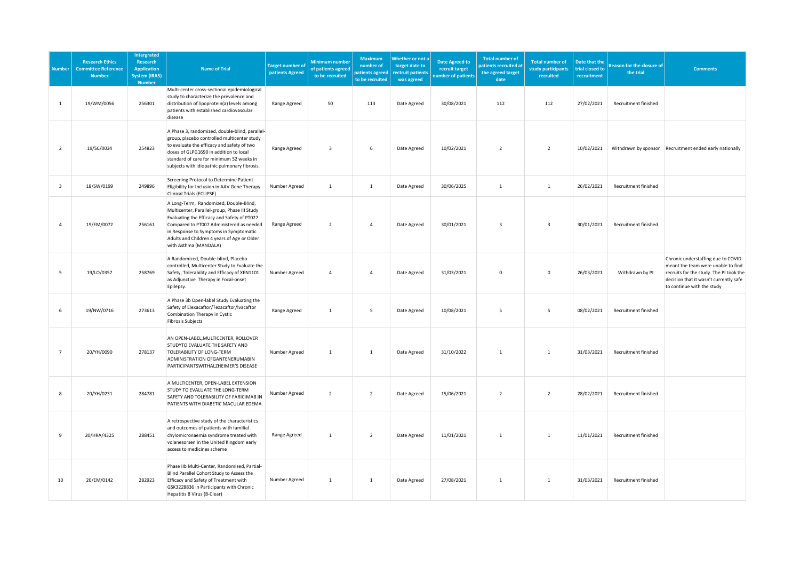| <b>Number</b>  | <b>Research Ethics</b><br><b>Committee Reference</b><br><b>Number</b> | <b>Intergrated</b><br>Research<br><b>Application</b><br><b>System (IRAS)</b><br><b>Number</b> | <b>Name of Trial</b>                                                                                                                                                                                                                                                                                | <b>Target number o</b><br>patients Agreed | <b>Minimum number</b><br>of patients agreed<br>to be recruited | Maximum<br>number of<br>patients agreed<br>to be recruited | Whether or not a<br>target date to<br>rectruit patients<br>was agreed | <b>Date Agreed to</b><br>recruit target<br>umber of patients | <b>Total number of</b><br>atients recruited at<br>the agreed target<br>date | <b>Total number of</b><br>study participants<br>recruited | Date that the<br>trial closed to<br>recruitment | <b>Reason for the closure of</b><br>the trial | <b>Comments</b>                                                                                                                                                                             |
|----------------|-----------------------------------------------------------------------|-----------------------------------------------------------------------------------------------|-----------------------------------------------------------------------------------------------------------------------------------------------------------------------------------------------------------------------------------------------------------------------------------------------------|-------------------------------------------|----------------------------------------------------------------|------------------------------------------------------------|-----------------------------------------------------------------------|--------------------------------------------------------------|-----------------------------------------------------------------------------|-----------------------------------------------------------|-------------------------------------------------|-----------------------------------------------|---------------------------------------------------------------------------------------------------------------------------------------------------------------------------------------------|
| 1              | 19/WM/0056                                                            | 256301                                                                                        | Multi-center cross-sectional epidemiological<br>study to characterize the prevalence and<br>distribution of lipoprotein(a) levels among<br>patients with established cardiovascular<br>disease                                                                                                      | Range Agreed                              | 50                                                             | 113                                                        | Date Agreed                                                           | 30/08/2021                                                   | 112                                                                         | 112                                                       | 27/02/2021                                      | Recruitment finished                          |                                                                                                                                                                                             |
| $\overline{2}$ | 19/SC/0034                                                            | 254823                                                                                        | A Phase 3, randomized, double-blind, parallel-<br>group, placebo controlled multicenter study<br>to evaluate the efficacy and safety of two<br>doses of GLPG1690 in addition to local<br>standard of care for minimum 52 weeks in<br>subjects with idiopathic pulmonary fibrosis.                   | Range Agreed                              | $\overline{\mathbf{3}}$                                        | 6                                                          | Date Agreed                                                           | 10/02/2021                                                   | $\overline{2}$                                                              | $\overline{2}$                                            | 10/02/2021                                      |                                               | Withdrawn by sponsor Recruitment ended early nationally                                                                                                                                     |
| 3              | 18/SW/0199                                                            | 249896                                                                                        | Screening Protocol to Determine Patient<br>Eligibility for Inclusion in AAV Gene Therapy<br>Clinical Trials (ECLIPSE)                                                                                                                                                                               | Number Agreed                             | $\mathbf{1}$                                                   | 1                                                          | Date Agreed                                                           | 30/06/2025                                                   | <sup>1</sup>                                                                | 1                                                         | 26/02/2021                                      | Recruitment finished                          |                                                                                                                                                                                             |
| $\overline{4}$ | 19/EM/0072                                                            | 256161                                                                                        | A Long-Term, Randomized, Double-Blind,<br>Multicenter, Parallel-group, Phase III Study<br>Evaluating the Efficacy and Safety of PT027<br>Compared to PT007 Administered as needed<br>in Response to Symptoms in Symptomatic<br>Adults and Children 4 years of Age or Older<br>with Asthma (MANDALA) | Range Agreed                              | $\overline{2}$                                                 | $\overline{4}$                                             | Date Agreed                                                           | 30/01/2021                                                   | $\overline{\mathbf{3}}$                                                     | $\overline{\mathbf{3}}$                                   | 30/01/2021                                      | Recruitment finished                          |                                                                                                                                                                                             |
| 5              | 19/LO/0357                                                            | 258769                                                                                        | A Randomized, Double-blind, Placebo-<br>controlled, Multicenter Study to Evaluate the<br>Safety, Tolerability and Efficacy of XEN1101<br>as Adjunctive Therapy in Focal-onset<br>Epilepsy.                                                                                                          | Number Agreed                             | $\Delta$                                                       | $\overline{4}$                                             | Date Agreed                                                           | 31/03/2021                                                   | $\mathbf 0$                                                                 | $\mathsf 0$                                               | 26/03/2021                                      | Withdrawn by PI                               | Chronic understaffing due to COVID<br>meant the team were unable to find<br>recruits for the study. The PI took the<br>decision that it wasn't currently safe<br>to continue with the study |
| 6              | 19/NW/0716                                                            | 273613                                                                                        | A Phase 3b Open-label Study Evaluating the<br>Safety of Elexacaftor/Tezacaftor/Ivacaftor<br>Combination Therapy in Cystic<br><b>Fibrosis Subjects</b>                                                                                                                                               | Range Agreed                              | $\mathbf{1}$                                                   | $5\phantom{.0}$                                            | Date Agreed                                                           | 10/08/2021                                                   | 5                                                                           | $\overline{5}$                                            | 08/02/2021                                      | Recruitment finished                          |                                                                                                                                                                                             |
| $\overline{7}$ | 20/YH/0090                                                            | 278137                                                                                        | AN OPEN-LABEL, MULTICENTER, ROLLOVER<br>STUDYTO EVALUATE THE SAFETY AND<br>TOLERABILITY OF LONG-TERM<br>ADMINISTRATION OFGANTENERUMABIN<br>PARTICIPANTSWITHALZHEIMER'S DISEASE                                                                                                                      | Number Agreed                             | $\mathbf{1}$                                                   | $\mathbf{1}$                                               | Date Agreed                                                           | 31/10/2022                                                   | $\mathbf{1}$                                                                | $\mathbf{1}$                                              | 31/03/2021                                      | Recruitment finished                          |                                                                                                                                                                                             |
| 8              | 20/YH/0231                                                            | 284781                                                                                        | A MULTICENTER, OPEN-LABEL EXTENSION<br>STUDY TO EVALUATE THE LONG-TERM<br>SAFETY AND TOLERABILITY OF FARICIMAB IN<br>PATIENTS WITH DIABETIC MACULAR EDEMA                                                                                                                                           | Number Agreed                             | $\overline{2}$                                                 | $\overline{2}$                                             | Date Agreed                                                           | 15/06/2021                                                   | $\overline{2}$                                                              | $\overline{2}$                                            | 28/02/2021                                      | Recruitment finished                          |                                                                                                                                                                                             |
| 9              | 20/HRA/4325                                                           | 288451                                                                                        | A retrospective study of the characteristics<br>and outcomes of patients with familial<br>chylomicronaemia syndrome treated with<br>volanesorsen in the United Kingdom early<br>access to medicines scheme                                                                                          | Range Agreed                              | $\mathbf{1}$                                                   | $\overline{2}$                                             | Date Agreed                                                           | 11/01/2021                                                   | $\mathbf{1}$                                                                | <sup>1</sup>                                              | 11/01/2021                                      | Recruitment finished                          |                                                                                                                                                                                             |
| 10             | 20/EM/0142                                                            | 282923                                                                                        | Phase IIb Multi-Center, Randomised, Partial-<br>Blind Parallel Cohort Study to Assess the<br>Efficacy and Safety of Treatment with<br>GSK3228836 in Participants with Chronic<br>Hepatitis B Virus (B-Clear)                                                                                        | Number Agreed                             | $\mathbf{1}$                                                   | 1                                                          | Date Agreed                                                           | 27/08/2021                                                   | $\mathbf{1}$                                                                | $\mathbf{1}$                                              | 31/03/2021                                      | Recruitment finished                          |                                                                                                                                                                                             |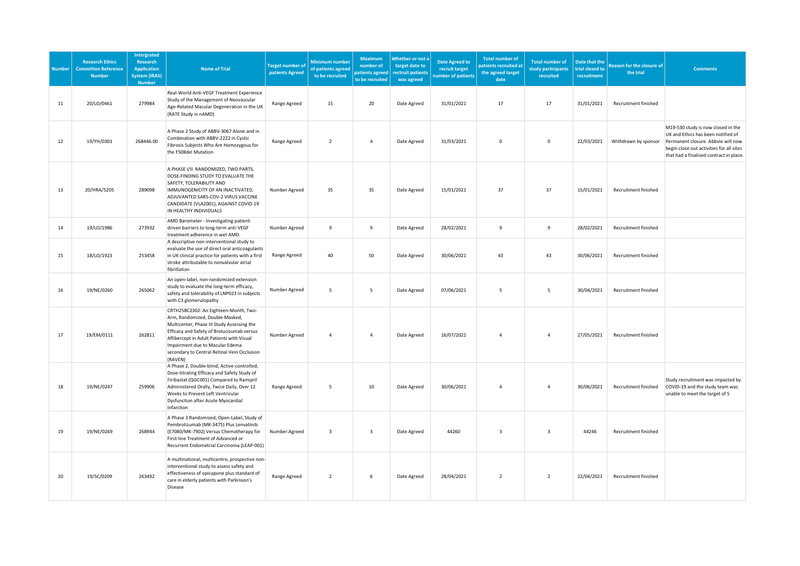| <b>Number</b> | <b>Research Ethics</b><br><b>Committee Reference</b><br><b>Number</b> | <b>Intergrated</b><br>Research<br><b>Application</b><br><b>System (IRAS)</b><br><b>Number</b> | <b>Name of Trial</b>                                                                                                                                                                                                                                                                                           | <b>Target number of</b><br>patients Agreed | Minimum number<br>of patients agreed<br>to be recruited | <b>Maximum</b><br>number of<br>patients agreed<br>to be recruited | Whether or not a<br>target date to<br>rectruit patients<br>was agreed | <b>Date Agreed to</b><br>recruit target<br>umber of patients | <b>Total number of</b><br>atients recruited at<br>the agreed target<br>date | <b>Total number of</b><br>study participants<br>recruited | Date that the<br>trial closed to<br>recruitment | Reason for the closure of<br>the trial | <b>Comments</b>                                                                                                                                                                                       |
|---------------|-----------------------------------------------------------------------|-----------------------------------------------------------------------------------------------|----------------------------------------------------------------------------------------------------------------------------------------------------------------------------------------------------------------------------------------------------------------------------------------------------------------|--------------------------------------------|---------------------------------------------------------|-------------------------------------------------------------------|-----------------------------------------------------------------------|--------------------------------------------------------------|-----------------------------------------------------------------------------|-----------------------------------------------------------|-------------------------------------------------|----------------------------------------|-------------------------------------------------------------------------------------------------------------------------------------------------------------------------------------------------------|
| 11            | 20/LO/0461                                                            | 279984                                                                                        | Real-World Anti-VEGF Treatment Experience<br>Study of the Management of Neovascular<br>Age-Related Macular Degeneration in the UK<br>(RATE Study in nAMD)                                                                                                                                                      | Range Agreed                               | 15                                                      | 20                                                                | Date Agreed                                                           | 31/01/2021                                                   | 17                                                                          | 17                                                        | 31/01/2021                                      | Recruitment finished                   |                                                                                                                                                                                                       |
| 12            | 19/YH/0301                                                            | 268446.00                                                                                     | A Phase 2 Study of ABBV-3067 Alone and in<br>Combination with ABBV-2222 in Cystic<br>Fibrosis Subjects Who Are Homozygous for<br>the F508del Mutation                                                                                                                                                          | Range Agreed                               | $\overline{2}$                                          | $\overline{4}$                                                    | Date Agreed                                                           | 31/03/2021                                                   | $\mathbf 0$                                                                 | $\mathbf 0$                                               | 22/03/2021                                      | Withdrawn by sponsor                   | M19-530 study is now closed in the<br>UK and Ethics has been notified of<br>Permanent closure. Abbvie will now<br>begin close out activities for all sites<br>that had a finalised contract in place. |
| 13            | 20/HRA/5205                                                           | 289098                                                                                        | A PHASE I/II RANDOMIZED, TWO PARTS,<br>DOSE-FINDING STUDY TO EVALUATE THE<br>SAFETY, TOLERABILITY AND<br>IMMUNOGENICITY OF AN INACTIVATED,<br>ADJUVANTED SARS-COV-2 VIRUS VACCINE<br>CANDIDATE (VLA2001), AGAINST COVID-19<br>IN HEALTHY INDIVIDUALS                                                           | Number Agreed                              | 35                                                      | 35                                                                | Date Agreed                                                           | 15/01/2021                                                   | 37                                                                          | 37                                                        | 15/01/2021                                      | Recruitment finished                   |                                                                                                                                                                                                       |
| 14            | 19/LO/1986                                                            | 273932                                                                                        | AMD Barometer - Investigating patient-<br>driven barriers to long-term anti-VEGF<br>treatment adherence in wet AMD.                                                                                                                                                                                            | Number Agreed                              | 9                                                       | $\overline{9}$                                                    | Date Agreed                                                           | 28/02/2021                                                   | $\overline{9}$                                                              | $\overline{9}$                                            | 28/02/2021                                      | Recruitment finished                   |                                                                                                                                                                                                       |
| 15            | 18/LO/1923                                                            | 253458                                                                                        | A descriptive non-interventional study to<br>evaluate the use of direct oral anticoagulants<br>in UK clinical practice for patients with a first<br>stroke attributable to nonvalvular atrial<br>fibrillation                                                                                                  | Range Agreed                               | 40                                                      | 50                                                                | Date Agreed                                                           | 30/06/2021                                                   | 43                                                                          | 43                                                        | 30/06/2021                                      | Recruitment finished                   |                                                                                                                                                                                                       |
| 16            | 19/NE/0260                                                            | 265062                                                                                        | An open-label, non-randomized extension<br>study to evaluate the long-term efficacy,<br>safety and tolerability of LNP023 in subjects<br>with C3 glomerulopathy                                                                                                                                                | Number Agreed                              | 5                                                       | 5                                                                 | Date Agreed                                                           | 07/06/2021                                                   | 5                                                                           | 5                                                         | 30/04/2021                                      | Recruitment finished                   |                                                                                                                                                                                                       |
| 17            | 19/EM/0111                                                            | 262811                                                                                        | CRTH258C2302: An Eighteen-Month, Two-<br>Arm, Randomized, Double Masked,<br>Multicenter, Phase III Study Assessing the<br>Efficacy and Safety of Brolucizumab versus<br>Aflibercept in Adult Patients with Visual<br>Impairment due to Macular Edema<br>secondary to Central Retinal Vein Occlusion<br>(RAVEN) | Number Agreed                              | $\overline{4}$                                          | $\overline{4}$                                                    | Date Agreed                                                           | 16/07/2021                                                   | $\overline{a}$                                                              | $\overline{4}$                                            | 27/05/2021                                      | Recruitment finished                   |                                                                                                                                                                                                       |
| 18            | 19/NE/0247                                                            | 259906                                                                                        | A Phase 2, Double-blind, Active-controlled,<br>Dose-titrating Efficacy and Safety Study of<br>Firibastat (QGC001) Compared to Ramipril<br>Administered Orally, Twice Daily, Over 12<br>Weeks to Prevent Left Ventricular<br>Dysfunction after Acute Myocardial<br>Infarction                                   | Range Agreed                               | 5                                                       | 10                                                                | Date Agreed                                                           | 30/06/2021                                                   | $\overline{a}$                                                              | $\overline{4}$                                            | 30/06/2021                                      | Recruitment finished                   | Study recruitment was impacted by<br>COVID-19 and the study team was<br>unable to meet the target of 5                                                                                                |
| 19            | 19/NE/0269                                                            | 268944                                                                                        | A Phase 3 Randomized, Open-Label, Study of<br>Pembrolizumab (MK-3475) Plus Lenvatinib<br>(E7080/MK-7902) Versus Chemotherapy for<br>First-line Treatment of Advanced or<br>Recurrent Endometrial Carcinoma (LEAP-001)                                                                                          | Number Agreed                              | $\overline{\mathbf{3}}$                                 | $\overline{\mathbf{3}}$                                           | Date Agreed                                                           | 44260                                                        | 3                                                                           | $\overline{\mathbf{3}}$                                   | 44246                                           | Recruitment finished                   |                                                                                                                                                                                                       |
| 20            | 19/SC/0209                                                            | 263492                                                                                        | A multinational, multicentre, prospective non-<br>interventional study to assess safety and<br>effectiveness of opicapone plus standard of<br>care in elderly patients with Parkinson's<br>Disease                                                                                                             | Range Agreed                               | $\overline{2}$                                          | 6                                                                 | Date Agreed                                                           | 28/04/2021                                                   | $\overline{2}$                                                              | $\overline{2}$                                            | 22/04/2021                                      | Recruitment finished                   |                                                                                                                                                                                                       |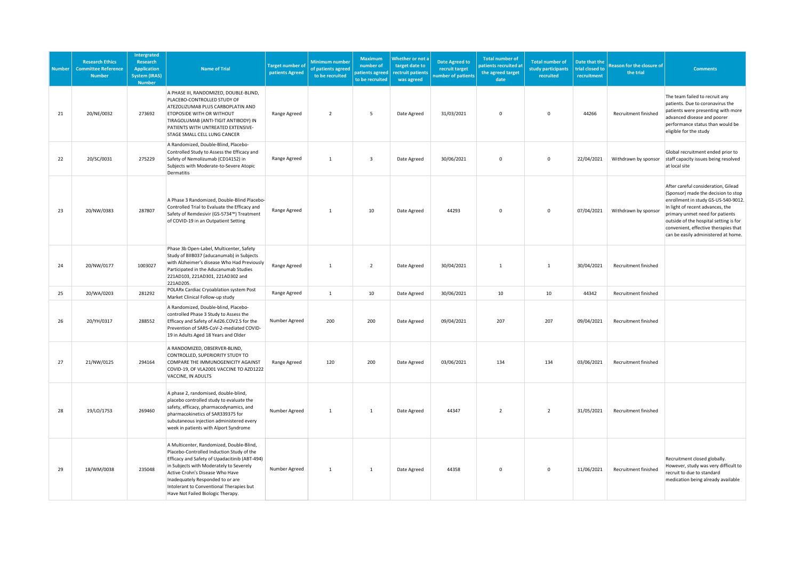| <b>Number</b> | <b>Research Ethics</b><br><b>Committee Reference</b><br><b>Number</b> | Intergrated<br>Research<br><b>Application</b><br><b>System (IRAS)</b><br><b>Number</b> | <b>Name of Trial</b>                                                                                                                                                                                                                                                                                                                      | <b>Target number of</b><br>patients Agreed | Minimum number<br>of patients agreed<br>to be recruited | <b>Maximum</b><br>number of<br>patients agreed<br>to be recruited | Whether or not a<br>target date to<br>rectruit patients<br>was agreed | <b>Date Agreed to</b><br>recruit target<br>umber of patients | <b>Total number of</b><br>atients recruited at<br>the agreed target<br>date | <b>Total number of</b><br>study participants<br>recruited | Date that the<br>trial closed to<br>recruitment | <b>Reason for the closure of</b><br>the trial | <b>Comments</b>                                                                                                                                                                                                                                                                                                   |
|---------------|-----------------------------------------------------------------------|----------------------------------------------------------------------------------------|-------------------------------------------------------------------------------------------------------------------------------------------------------------------------------------------------------------------------------------------------------------------------------------------------------------------------------------------|--------------------------------------------|---------------------------------------------------------|-------------------------------------------------------------------|-----------------------------------------------------------------------|--------------------------------------------------------------|-----------------------------------------------------------------------------|-----------------------------------------------------------|-------------------------------------------------|-----------------------------------------------|-------------------------------------------------------------------------------------------------------------------------------------------------------------------------------------------------------------------------------------------------------------------------------------------------------------------|
| 21            | 20/NE/0032                                                            | 273692                                                                                 | A PHASE III, RANDOMIZED, DOUBLE-BLIND,<br>PLACEBO-CONTROLLED STUDY OF<br>ATEZOLIZUMAB PLUS CARBOPLATIN AND<br><b>ETOPOSIDE WITH OR WITHOUT</b><br>TIRAGOLUMAB (ANTI-TIGIT ANTIBODY) IN<br>PATIENTS WITH UNTREATED EXTENSIVE-<br>STAGE SMALL CELL LUNG CANCER                                                                              | Range Agreed                               | $\overline{2}$                                          | 5                                                                 | Date Agreed                                                           | 31/03/2021                                                   | $\mathsf 0$                                                                 | $\mathsf 0$                                               | 44266                                           | Recruitment finished                          | The team failed to recruit any<br>patients. Due to coronavirus the<br>patients were presenting with more<br>advanced disease and poorer<br>performance status than would be<br>eligible for the study                                                                                                             |
| 22            | 20/SC/0031                                                            | 275229                                                                                 | A Randomized, Double-Blind, Placebo-<br>Controlled Study to Assess the Efficacy and<br>Safety of Nemolizumab (CD14152) in<br>Subjects with Moderate-to-Severe Atopic<br>Dermatitis                                                                                                                                                        | Range Agreed                               | $\mathbf{1}$                                            | $\overline{\mathbf{3}}$                                           | Date Agreed                                                           | 30/06/2021                                                   | $\mathbf 0$                                                                 | $\mathbf 0$                                               | 22/04/2021                                      | Withdrawn by sponsor                          | Global recruitment ended prior to<br>staff capacity issues being resolved<br>at local site                                                                                                                                                                                                                        |
| 23            | 20/NW/0383                                                            | 287807                                                                                 | A Phase 3 Randomized, Double-Blind Placebo-<br>Controlled Trial to Evaluate the Efficacy and<br>Safety of Remdesivir (GS-5734™) Treatment<br>of COVID-19 in an Outpatient Setting                                                                                                                                                         | Range Agreed                               | $\overline{1}$                                          | 10                                                                | Date Agreed                                                           | 44293                                                        | $\mathbf 0$                                                                 | $\mathsf 0$                                               | 07/04/2021                                      | Withdrawn by sponsor                          | After careful consideration, Gilead<br>(Sponsor) made the decision to stop<br>enrollment in study GS-US-540-9012.<br>In light of recent advances, the<br>primary unmet need for patients<br>outside of the hospital setting is for<br>convenient, effective therapies that<br>can be easily administered at home. |
| 24            | 20/NW/0177                                                            | 1003027                                                                                | Phase 3b Open-Label, Multicenter, Safety<br>Study of BIIB037 (aducanumab) in Subjects<br>with Alzheimer's disease Who Had Previously<br>Participated in the Aducanumab Studies<br>221AD103, 221AD301, 221AD302 and<br>221AD205.                                                                                                           | Range Agreed                               | $\mathbf{1}$                                            | $\overline{2}$                                                    | Date Agreed                                                           | 30/04/2021                                                   | $\mathbf{1}$                                                                | 1                                                         | 30/04/2021                                      | Recruitment finished                          |                                                                                                                                                                                                                                                                                                                   |
| 25            | 20/WA/0203                                                            | 281292                                                                                 | POLARx Cardiac Cryoablation system Post<br>Market Clinical Follow-up study                                                                                                                                                                                                                                                                | Range Agreed                               | $\mathbf{1}$                                            | 10                                                                | Date Agreed                                                           | 30/06/2021                                                   | 10                                                                          | 10                                                        | 44342                                           | Recruitment finished                          |                                                                                                                                                                                                                                                                                                                   |
| 26            | 20/YH/0317                                                            | 288552                                                                                 | A Randomized, Double-blind, Placebo-<br>controlled Phase 3 Study to Assess the<br>Efficacy and Safety of Ad26.COV2.S for the<br>Prevention of SARS-CoV-2-mediated COVID-<br>19 in Adults Aged 18 Years and Older                                                                                                                          | Number Agreed                              | 200                                                     | 200                                                               | Date Agreed                                                           | 09/04/2021                                                   | 207                                                                         | 207                                                       | 09/04/2021                                      | Recruitment finished                          |                                                                                                                                                                                                                                                                                                                   |
| 27            | 21/NW/0125                                                            | 294164                                                                                 | A RANDOMIZED, OBSERVER-BLIND,<br>CONTROLLED, SUPERIORITY STUDY TO<br>COMPARE THE IMMUNOGENICITY AGAINST<br>COVID-19, OF VLA2001 VACCINE TO AZD1222<br>VACCINE, IN ADULTS                                                                                                                                                                  | Range Agreed                               | 120                                                     | 200                                                               | Date Agreed                                                           | 03/06/2021                                                   | 134                                                                         | 134                                                       | 03/06/2021                                      | Recruitment finished                          |                                                                                                                                                                                                                                                                                                                   |
| 28            | 19/LO/1753                                                            | 269460                                                                                 | A phase 2, randomised, double-blind,<br>placebo controlled study to evaluate the<br>safety, efficacy, pharmacodynamics, and<br>pharmacokinetics of SAR339375 for<br>subutaneous injection administered every<br>week in patients with Alport Syndrome                                                                                     | Number Agreed                              | $\mathbf{1}$                                            | $\mathbf{1}$                                                      | Date Agreed                                                           | 44347                                                        | $\overline{2}$                                                              | $\overline{2}$                                            | 31/05/2021                                      | Recruitment finished                          |                                                                                                                                                                                                                                                                                                                   |
| 29            | 18/WM/0038                                                            | 235048                                                                                 | A Multicenter, Randomized, Double-Blind,<br>Placebo-Controlled Induction Study of the<br>Efficacy and Safety of Upadacitinib (ABT-494)<br>in Subjects with Moderately to Severely<br>Active Crohn's Disease Who Have<br>Inadequately Responded to or are<br>Intolerant to Conventional Therapies but<br>Have Not Failed Biologic Therapy. | Number Agreed                              | $\mathbf{1}$                                            | $\mathbf{1}$                                                      | Date Agreed                                                           | 44358                                                        | $\mathbf 0$                                                                 | $\mathsf 0$                                               | 11/06/2021                                      | Recruitment finished                          | Recruitment closed globally.<br>However, study was very difficult to<br>recruit to due to standard<br>medication being already available                                                                                                                                                                          |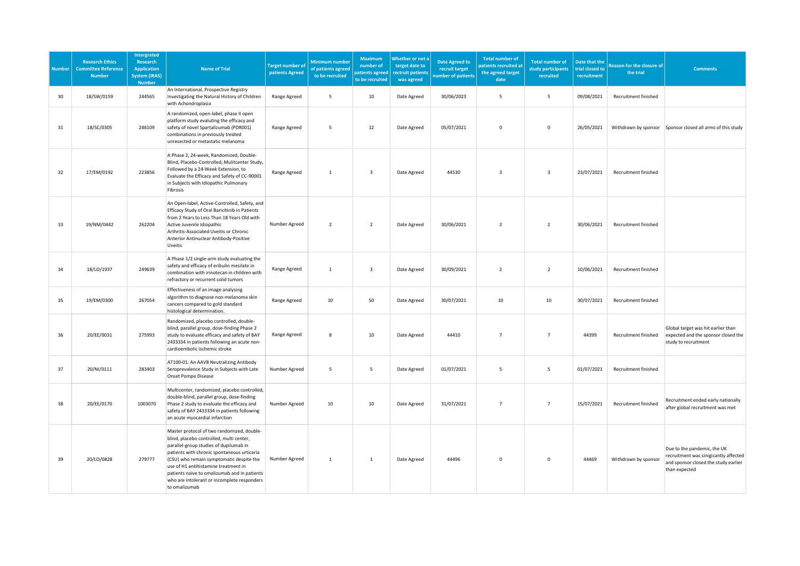| <b>Number</b> | <b>Research Ethics</b><br><b>Committee Reference</b><br><b>Number</b> | <b>Intergrated</b><br><b>Research</b><br><b>Application</b><br><b>System (IRAS)</b><br><b>Number</b> | <b>Name of Trial</b>                                                                                                                                                                                                                                                                                                                                                                | Target number o<br>patients Agreed | <b>Minimum number</b><br>of patients agreed<br>to be recruited | Maximum<br>number of<br>patients agreed<br>to be recruited | Whether or not a<br>target date to<br>rectruit patients<br>was agreed | <b>Date Agreed to</b><br>recruit target<br>umber of patients | <b>Total number of</b><br>patients recruited at<br>the agreed target<br>date | <b>Total number of</b><br>study participants<br>recruited | Date that the<br>trial closed to<br>recruitment | <b>Reason for the closure of</b><br>the trial | <b>Comments</b>                                                                                                               |
|---------------|-----------------------------------------------------------------------|------------------------------------------------------------------------------------------------------|-------------------------------------------------------------------------------------------------------------------------------------------------------------------------------------------------------------------------------------------------------------------------------------------------------------------------------------------------------------------------------------|------------------------------------|----------------------------------------------------------------|------------------------------------------------------------|-----------------------------------------------------------------------|--------------------------------------------------------------|------------------------------------------------------------------------------|-----------------------------------------------------------|-------------------------------------------------|-----------------------------------------------|-------------------------------------------------------------------------------------------------------------------------------|
| 30            | 18/SW/0159                                                            | 244565                                                                                               | An International, Prospective Registry<br>Investigating the Natural History of Children<br>with Achondroplasia                                                                                                                                                                                                                                                                      | Range Agreed                       | 5                                                              | 10                                                         | Date Agreed                                                           | 30/06/2023                                                   | 5                                                                            | 5                                                         | 09/08/2021                                      | Recruitment finished                          |                                                                                                                               |
| 31            | 18/SC/0305                                                            | 246109                                                                                               | A randomized, open-label, phase II open<br>platform study evaluting the efficacy and<br>safety of novel Spartalizumab (PDR001)<br>combinations in previously treated<br>unresected or metastatic melanoma                                                                                                                                                                           | Range Agreed                       | 5                                                              | 12                                                         | Date Agreed                                                           | 05/07/2021                                                   | $\mathbf 0$                                                                  | $\mathsf 0$                                               | 26/05/2021                                      | Withdrawn by sponsor                          | Sponsor closed all arms of this study                                                                                         |
| 32            | 17/EM/0192                                                            | 223856                                                                                               | A Phase 2, 24-week, Randomized, Double-<br>Blind, Placebo-Controlled, Mulitcenter Study,<br>Followed by a 24-Week Extension, to<br>Evaluate the Efficacy and Safety of CC-90001<br>in Subjects with Idiopathic Pulmonary<br>Fibrosis                                                                                                                                                | Range Agreed                       | $\overline{1}$                                                 | $\overline{\mathbf{3}}$                                    | Date Agreed                                                           | 44530                                                        | $\overline{\mathbf{3}}$                                                      | $\overline{3}$                                            | 23/07/2021                                      | Recruitment finished                          |                                                                                                                               |
| 33            | 19/NM/0442                                                            | 262204                                                                                               | An Open-label, Active-Controlled, Safety, and<br>Efficacy Study of Oral Baricitinib in Patients<br>from 2 Years to Less Than 18 Years Old with<br>Active Juvenile Idiopathic<br>Arthritis-Associated Uveitis or Chronic<br>Anterior Antinuclear Antibody-Positive<br>Uveitis                                                                                                        | Number Agreed                      | $\overline{2}$                                                 | $\overline{2}$                                             | Date Agreed                                                           | 30/06/2021                                                   | $\overline{2}$                                                               | $\overline{2}$                                            | 30/06/2021                                      | Recruitment finished                          |                                                                                                                               |
| 34            | 18/LO/1937                                                            | 249639                                                                                               | A Phase 1/2 single-arm study evaluating the<br>safety and efficacy of eribulin mesilate in<br>combination with irinotecan in children with<br>refractory or recurrent solid tumors                                                                                                                                                                                                  | Range Agreed                       | $\mathbf{1}$                                                   | $\overline{\mathbf{3}}$                                    | Date Agreed                                                           | 30/09/2021                                                   | $\overline{2}$                                                               | $\overline{2}$                                            | 10/06/2021                                      | Recruitment finished                          |                                                                                                                               |
| 35            | 19/EM/0300                                                            | 267054                                                                                               | Effectiveness of an image analysing<br>algorithm to diagnose non-melanoma skin<br>cancers compared to gold standard<br>histological determination.                                                                                                                                                                                                                                  | Range Agreed                       | 10                                                             | 50                                                         | Date Agreed                                                           | 30/07/2021                                                   | 10                                                                           | 10                                                        | 30/07/2021                                      | Recruitment finished                          |                                                                                                                               |
| 36            | 20/EE/0031                                                            | 275993                                                                                               | Randomized, placebo controlled, double-<br>blind, parallel group, dose-finding Phase 2<br>study to evaluate efficacy and safety of BAY<br>2433334 in patients following an acute non-<br>cardioembolic ischemic stroke                                                                                                                                                              | Range Agreed                       | 8                                                              | $10\,$                                                     | Date Agreed                                                           | 44410                                                        | $\overline{7}$                                                               | $\overline{7}$                                            | 44399                                           | Recruitment finished                          | Global target was hit earlier than<br>expected and the sponsor closed the<br>study to recruitment                             |
| 37            | 20/NI/0111                                                            | 283403                                                                                               | AT100-01: An AAV8 Neutralizing Antibody<br>Seroprevalence Study in Subjects with Late<br>Onset Pompe Disease                                                                                                                                                                                                                                                                        | Number Agreed                      | 5                                                              | 5                                                          | Date Agreed                                                           | 01/07/2021                                                   | 5                                                                            | 5                                                         | 01/07/2021                                      | Recruitment finished                          |                                                                                                                               |
| 38            | 20/EE/0170                                                            | 1003070                                                                                              | Multicenter, randomized, placebo controlled,<br>double-blind, parallel group, dose-finding<br>Phase 2 study to evaluate the efficacy and<br>safety of BAY 2433334 in patients following<br>an acute myocardial infarction                                                                                                                                                           | Number Agreed                      | 10                                                             | 10                                                         | Date Agreed                                                           | 31/07/2021                                                   | $\overline{7}$                                                               | $\overline{7}$                                            | 15/07/2021                                      | Recruitment finished                          | Recruitment ended early nationally<br>after global recruitment was met                                                        |
| 39            | 20/LO/0828                                                            | 279777                                                                                               | Master protocol of two randomized, double-<br>blind, placebo controlled, multi center,<br>parallel-group studies of dupilumab in<br>patients with chronic spontaneous urticaria<br>(CSU) who remain symptomatic despite the<br>use of H1 antihistamine treatment in<br>patients naïve to omalizumab and in patients<br>who are intolerant or incomplete responders<br>to omalizumab | Number Agreed                      | $\overline{1}$                                                 | $\mathbf{1}$                                               | Date Agreed                                                           | 44496                                                        | $\mathsf{O}\xspace$                                                          | $\mathsf{O}\xspace$                                       | 44469                                           | Withdrawn by sponsor                          | Due to the pandemic, the UK<br>recruitment was sinigicantly affected<br>and sponsor closed the study earlier<br>than expected |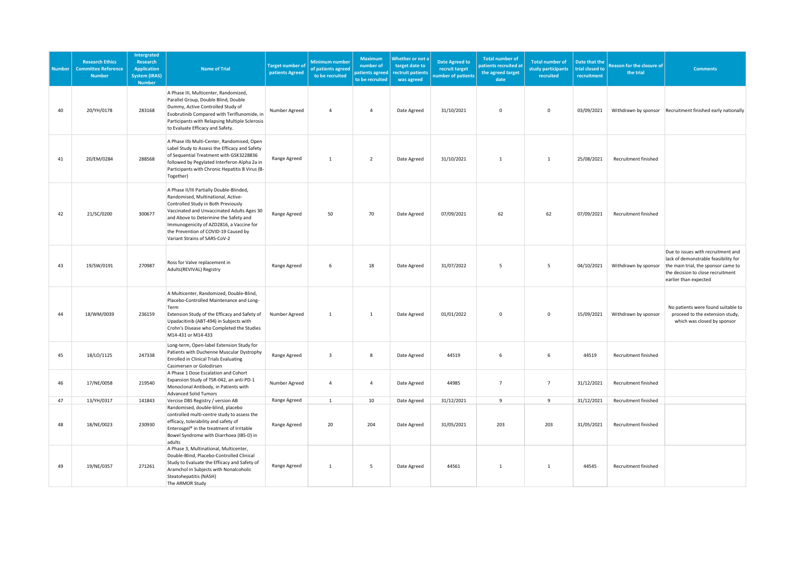| <b>Number</b> | <b>Research Ethics</b><br><b>Committee Reference</b><br><b>Number</b> | <b>Intergrated</b><br><b>Research</b><br><b>Application</b><br><b>System (IRAS)</b><br><b>Number</b> | <b>Name of Trial</b>                                                                                                                                                                                                                                                                                                              | <b>Target number o</b><br>patients Agreed | <b>Minimum number</b><br>of patients agreed<br>to be recruited | <b>Maximum</b><br>number of<br>patients agreed<br>to be recruited | Whether or not a<br>target date to<br>rectruit patients<br>was agreed | <b>Date Agreed to</b><br>recruit target<br>umber of patients | <b>Total number of</b><br>patients recruited at<br>the agreed target<br>date | <b>Total number of</b><br>study participants<br>recruited | Date that the<br>trial closed to<br>recruitment | <b>Reason for the closure of</b><br>the trial | <b>Comments</b>                                                                                                                                                                 |
|---------------|-----------------------------------------------------------------------|------------------------------------------------------------------------------------------------------|-----------------------------------------------------------------------------------------------------------------------------------------------------------------------------------------------------------------------------------------------------------------------------------------------------------------------------------|-------------------------------------------|----------------------------------------------------------------|-------------------------------------------------------------------|-----------------------------------------------------------------------|--------------------------------------------------------------|------------------------------------------------------------------------------|-----------------------------------------------------------|-------------------------------------------------|-----------------------------------------------|---------------------------------------------------------------------------------------------------------------------------------------------------------------------------------|
| 40            | 20/YH/0178                                                            | 283168                                                                                               | A Phase III, Multicenter, Randomized,<br>Parallel Group, Double Blind, Double<br>Dummy, Active Controlled Study of<br>Evobrutinib Compared with Teriflunomide, in<br>Participants with Relapsing Multiple Sclerosis<br>to Evaluate Efficacy and Safety.                                                                           | Number Agreed                             | $\overline{a}$                                                 | $\overline{4}$                                                    | Date Agreed                                                           | 31/10/2021                                                   | $\mathsf 0$                                                                  | $\mathsf 0$                                               | 03/09/2021                                      |                                               | Withdrawn by sponsor Recruitment finished early nationally                                                                                                                      |
| 41            | 20/EM/0284                                                            | 288568                                                                                               | A Phase IIb Multi-Center, Randomised, Open<br>Label Study to Assess the Efficacy and Safety<br>of Sequential Treatment with GSK3228836<br>followed by Pegylated Interferon Alpha 2a in<br>Participants with Chronic Hepatitis B Virus (B-<br>Together)                                                                            | Range Agreed                              | 1                                                              | $\overline{2}$                                                    | Date Agreed                                                           | 31/10/2021                                                   | 1                                                                            | $\mathbf{1}$                                              | 25/08/2021                                      | Recruitment finished                          |                                                                                                                                                                                 |
| 42            | 21/SC/0200                                                            | 300677                                                                                               | A Phase II/III Partially Double-Blinded,<br>Randomised, Multinational, Active-<br>Controlled Study in Both Previously<br>Vaccinated and Unvaccinated Adults Ages 30<br>and Above to Determine the Safety and<br>Immunogenicity of AZD2816, a Vaccine for<br>the Prevention of COVID-19 Caused by<br>Variant Strains of SARS-CoV-2 | Range Agreed                              | 50                                                             | 70                                                                | Date Agreed                                                           | 07/09/2021                                                   | 62                                                                           | 62                                                        | 07/09/2021                                      | Recruitment finished                          |                                                                                                                                                                                 |
| 43            | 19/SW/0191                                                            | 270987                                                                                               | Ross for Valve replacement in<br>Adults(REVIVAL) Registry                                                                                                                                                                                                                                                                         | Range Agreed                              | 6                                                              | 18                                                                | Date Agreed                                                           | 31/07/2022                                                   | 5                                                                            | 5                                                         | 04/10/2021                                      | Withdrawn by sponsor                          | Due to issues with recruitment and<br>lack of demonstrable feasibility for<br>the main trial, the sponsor came to<br>the decision to close recruitment<br>earlier than expected |
| 44            | 18/WM/0039                                                            | 236159                                                                                               | A Multicenter, Randomized, Double-Blind,<br>Placebo-Controlled Maintenance and Long-<br>Term<br>Extension Study of the Efficacy and Safety of<br>Upadacitinib (ABT-494) in Subjects with<br>Crohn's Disease who Completed the Studies<br>M14-431 or M14-433                                                                       | Number Agreed                             | 1                                                              | $\mathbf{1}$                                                      | Date Agreed                                                           | 01/01/2022                                                   | $\mathbf 0$                                                                  | $\mathsf{O}\xspace$                                       | 15/09/2021                                      | Withdrawn by sponsor                          | No patients were found suitable to<br>proceed to the extension study,<br>which was closed by sponsor                                                                            |
| 45            | 18/LO/1125                                                            | 247338                                                                                               | Long-term, Open-label Extension Study for<br>Patients with Duchenne Muscular Dystrophy<br><b>Enrolled in Clinical Trials Evaluating</b><br>Casimersen or Golodirsen                                                                                                                                                               | Range Agreed                              | $\overline{3}$                                                 | 8                                                                 | Date Agreed                                                           | 44519                                                        | 6                                                                            | 6                                                         | 44519                                           | Recruitment finished                          |                                                                                                                                                                                 |
| 46            | 17/NE/0058                                                            | 219540                                                                                               | A Phase 1 Dose Escalation and Cohort<br>Expansion Study of TSR-042, an anti-PD-1<br>Monoclonal Antibody, in Patients with<br><b>Advanced Solid Tumors</b>                                                                                                                                                                         | Number Agreed                             | $\overline{4}$                                                 | $\overline{4}$                                                    | Date Agreed                                                           | 44985                                                        | $7\overline{ }$                                                              | $\overline{7}$                                            | 31/12/2021                                      | Recruitment finished                          |                                                                                                                                                                                 |
| 47<br>48      | 13/YH/0317<br>18/NE/0023                                              | 141843<br>230930                                                                                     | Vercise DBS Registry / version AB<br>Randomised, double-blind, placebo<br>controlled multi-centre study to assess the<br>efficacy, tolerability and safety of<br>Enterosgel® in the treatment of Irritable<br>Bowel Syndrome with Diarrhoea (IBS-D) in<br>adults                                                                  | Range Agreed<br>Range Agreed              | $\mathbf{1}$<br>20                                             | 10<br>204                                                         | Date Agreed<br>Date Agreed                                            | 31/12/2021<br>31/05/2021                                     | 9<br>203                                                                     | 9<br>203                                                  | 31/12/2021<br>31/05/2021                        | Recruitment finished<br>Recruitment finished  |                                                                                                                                                                                 |
| 49            | 19/NE/0357                                                            | 271261                                                                                               | A Phase 3, Multinational, Multicenter,<br>Double-Blind, Placebo-Controlled Clinical<br>Study to Evaluate the Efficacy and Safety of<br>Aramchol in Subjects with Nonalcoholic<br>Steatohepatitis (NASH)<br>The ARMOR Study                                                                                                        | Range Agreed                              | $\overline{1}$                                                 | 5                                                                 | Date Agreed                                                           | 44561                                                        | $\mathbf{1}$                                                                 | $\mathbf{1}$                                              | 44545                                           | Recruitment finished                          |                                                                                                                                                                                 |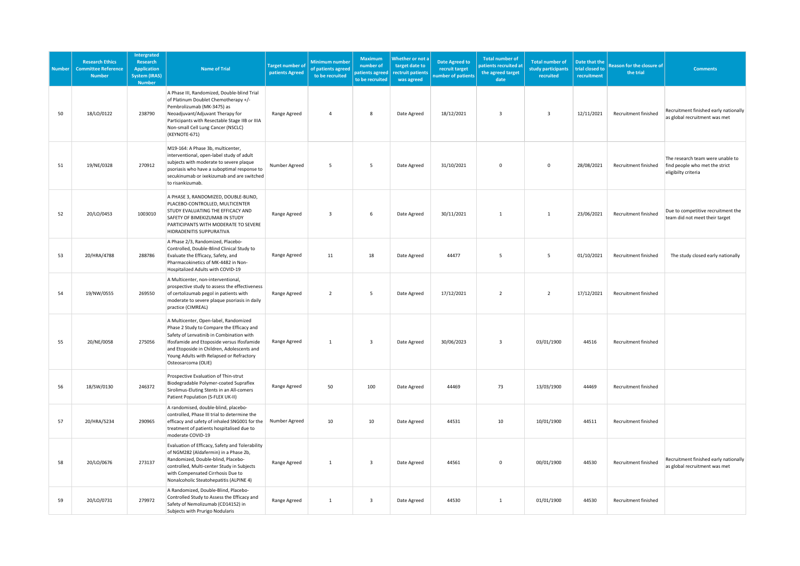| <b>Number</b> | <b>Research Ethics</b><br><b>Committee Reference</b><br><b>Number</b> | Intergrated<br>Research<br><b>Application</b><br><b>System (IRAS)</b><br><b>Number</b> | <b>Name of Trial</b>                                                                                                                                                                                                                                                                          | <b>Target number o</b><br>patients Agreed | <b>Minimum number</b><br>of patients agreed<br>to be recruited | <b>Maximum</b><br>number of<br>patients agreed<br>to be recruited | Whether or not a<br>target date to<br>rectruit patients<br>was agreed | <b>Date Agreed to</b><br>recruit target<br>umber of patients | <b>Total number of</b><br>atients recruited at<br>the agreed target<br>date | <b>Total number of</b><br>study participants<br>recruited | Date that the<br>trial closed to<br>recruitment | <b>Reason for the closure of</b><br>the trial | <b>Comments</b>                                                                           |
|---------------|-----------------------------------------------------------------------|----------------------------------------------------------------------------------------|-----------------------------------------------------------------------------------------------------------------------------------------------------------------------------------------------------------------------------------------------------------------------------------------------|-------------------------------------------|----------------------------------------------------------------|-------------------------------------------------------------------|-----------------------------------------------------------------------|--------------------------------------------------------------|-----------------------------------------------------------------------------|-----------------------------------------------------------|-------------------------------------------------|-----------------------------------------------|-------------------------------------------------------------------------------------------|
| 50            | 18/LO/0122                                                            | 238790                                                                                 | A Phase III, Randomized, Double-blind Trial<br>of Platinum Doublet Chemotherapy +/-<br>Pembrolizumab (MK-3475) as<br>Neoadjuvant/Adjuvant Therapy for<br>Participants with Resectable Stage IIB or IIIA<br>Non-small Cell Lung Cancer (NSCLC)<br>(KEYNOTE-671)                                | Range Agreed                              | 4                                                              | 8                                                                 | Date Agreed                                                           | 18/12/2021                                                   | $\overline{3}$                                                              | $\overline{\mathbf{3}}$                                   | 12/11/2021                                      | Recruitment finished                          | Recruitment finished early nationally<br>as global recruitment was met                    |
| $51\,$        | 19/NE/0328                                                            | 270912                                                                                 | M19-164: A Phase 3b, multicenter,<br>interventional, open-label study of adult<br>subjects with moderate to severe plaque<br>psoriasis who have a suboptimal response to<br>secukinumab or ixekizumab and are switched<br>to risankizumab.                                                    | Number Agreed                             | 5                                                              | 5                                                                 | Date Agreed                                                           | 31/10/2021                                                   | $\mathbf 0$                                                                 | $\mathsf 0$                                               | 28/08/2021                                      | Recruitment finished                          | The research team were unable to<br>find people who met the strict<br>eligibilty criteria |
| 52            | 20/LO/0453                                                            | 1003010                                                                                | A PHASE 3, RANDOMIZED, DOUBLE-BLIND,<br>PLACEBO-CONTROLLED, MULTICENTER<br>STUDY EVALUATING THE EFFICACY AND<br>SAFETY OF BIMEKIZUMAB IN STUDY<br>PARTICIPANTS WITH MODERATE TO SEVERE<br>HIDRADENITIS SUPPURATIVA                                                                            | Range Agreed                              | $\overline{3}$                                                 | 6                                                                 | Date Agreed                                                           | 30/11/2021                                                   | $\mathbf{1}$                                                                | $\mathbf{1}$                                              | 23/06/2021                                      | Recruitment finished                          | Due to competitive recruitment the<br>team did not meet their target                      |
| 53            | 20/HRA/4788                                                           | 288786                                                                                 | A Phase 2/3, Randomized, Placebo-<br>Controlled, Double-Blind Clinical Study to<br>Evaluate the Efficacy, Safety, and<br>Pharmacokinetics of MK-4482 in Non-<br>Hospitalized Adults with COVID-19                                                                                             | Range Agreed                              | 11                                                             | 18                                                                | Date Agreed                                                           | 44477                                                        | 5                                                                           | 5                                                         | 01/10/2021                                      | Recruitment finished                          | The study closed early nationally                                                         |
| 54            | 19/NW/0555                                                            | 269550                                                                                 | A Multicenter, non-interventional,<br>prospective study to assess the effectiveness<br>of certolizumab pegol in patients with<br>moderate to severe plaque psoriasis in daily<br>practice (CIMREAL)                                                                                           | Range Agreed                              | $\overline{2}$                                                 | 5                                                                 | Date Agreed                                                           | 17/12/2021                                                   | $\overline{2}$                                                              | $\overline{2}$                                            | 17/12/2021                                      | Recruitment finished                          |                                                                                           |
| 55            | 20/NE/0058                                                            | 275056                                                                                 | A Multicenter, Open-label, Randomized<br>Phase 2 Study to Compare the Efficacy and<br>Safety of Lenvatinib in Combination with<br>Ifosfamide and Etoposide versus Ifosfamide<br>and Etoposide in Children, Adolescents and<br>Young Adults with Relapsed or Refractory<br>Osteosarcoma (OLIE) | Range Agreed                              | $\mathbf{1}$                                                   | 3                                                                 | Date Agreed                                                           | 30/06/2023                                                   | $\overline{3}$                                                              | 03/01/1900                                                | 44516                                           | Recruitment finished                          |                                                                                           |
| 56            | 18/SW/0130                                                            | 246372                                                                                 | Prospective Evaluation of Thin-strut<br>Biodegradable Polymer-coated Supraflex<br>Sirolimus-Eluting Stents in an All-comers<br>Patient Population (S-FLEX UK-II)                                                                                                                              | Range Agreed                              | 50                                                             | 100                                                               | Date Agreed                                                           | 44469                                                        | 73                                                                          | 13/03/1900                                                | 44469                                           | Recruitment finished                          |                                                                                           |
| 57            | 20/HRA/5234                                                           | 290965                                                                                 | A randomised, double-blind, placebo-<br>controlled, Phase III trial to determine the<br>efficacy and safety of inhaled SNG001 for the<br>treatment of patients hospitalised due to<br>moderate COVID-19                                                                                       | Number Agreed                             | 10                                                             | 10                                                                | Date Agreed                                                           | 44531                                                        | 10                                                                          | 10/01/1900                                                | 44511                                           | Recruitment finished                          |                                                                                           |
| 58            | 20/LO/0676                                                            | 273137                                                                                 | Evaluation of Efficacy, Safety and Tolerability<br>of NGM282 (Aldafermin) in a Phase 2b,<br>Randomized, Double-blind, Placebo-<br>controlled, Multi-center Study in Subjects<br>with Compensated Cirrhosis Due to<br>Nonalcoholic Steatohepatitis (ALPINE 4)                                  | Range Agreed                              | 1                                                              | $\overline{\mathbf{3}}$                                           | Date Agreed                                                           | 44561                                                        | $\mathbf 0$                                                                 | 00/01/1900                                                | 44530                                           | Recruitment finished                          | Recruitment finished early nationally<br>as global recruitment was met                    |
| 59            | 20/LO/0731                                                            | 279972                                                                                 | A Randomized, Double-Blind, Placebo-<br>Controlled Study to Assess the Efficacy and<br>Safety of Nemolizumab (CD14152) in<br>Subjects with Prurigo Nodularis                                                                                                                                  | Range Agreed                              | 1                                                              | $\overline{\mathbf{3}}$                                           | Date Agreed                                                           | 44530                                                        | $\mathbf{1}$                                                                | 01/01/1900                                                | 44530                                           | Recruitment finished                          |                                                                                           |